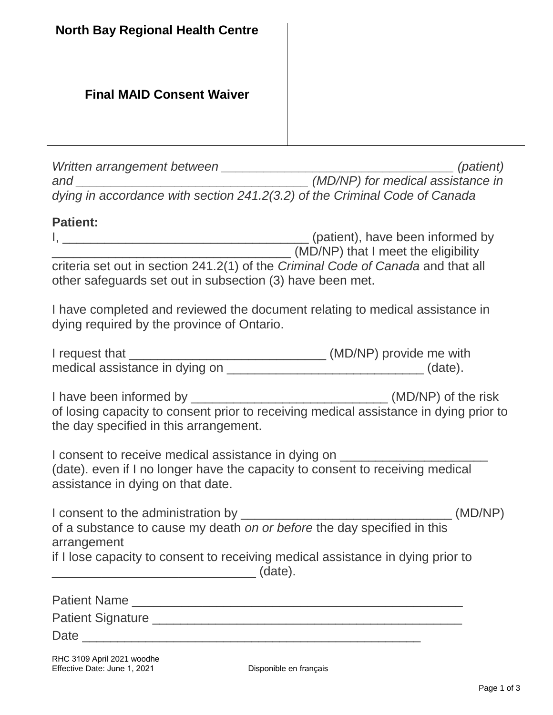### **Final MAID Consent Waiver**

*Written arrangement between \_\_\_\_\_\_\_\_\_\_\_\_\_\_\_\_\_\_\_\_\_\_\_\_\_\_\_\_\_\_\_\_\_ (patient) and \_\_\_\_\_\_\_\_\_\_\_\_\_\_\_\_\_\_\_\_\_\_\_\_\_\_\_\_\_\_\_\_\_ (MD/NP) for medical assistance in dying in accordance with section 241.2(3.2) of the Criminal Code of Canada*

#### **Patient:**

| (patient), have been informed by                                                 |
|----------------------------------------------------------------------------------|
| (MD/NP) that I meet the eligibility                                              |
| criteria set out in section 241.2(1) of the Criminal Code of Canada and that all |
| other safeguards set out in subsection (3) have been met.                        |

I have completed and reviewed the document relating to medical assistance in dying required by the province of Ontario.

| I request that                 | (MD/NP) provide me with |
|--------------------------------|-------------------------|
| medical assistance in dying on | (date).                 |

I have been informed by  $(MD/NP)$  of the risk of losing capacity to consent prior to receiving medical assistance in dying prior to the day specified in this arrangement.

I consent to receive medical assistance in dying on (date). even if I no longer have the capacity to consent to receiving medical assistance in dying on that date.

| I consent to the administration by                                              | (MD/NP) |
|---------------------------------------------------------------------------------|---------|
| of a substance to cause my death on or before the day specified in this         |         |
| arrangement                                                                     |         |
| if I lose capacity to consent to receiving medical assistance in dying prior to |         |

 $(date)$ .

| <b>Patient Name</b>      |  |  |  |
|--------------------------|--|--|--|
| <b>Patient Signature</b> |  |  |  |
| Date                     |  |  |  |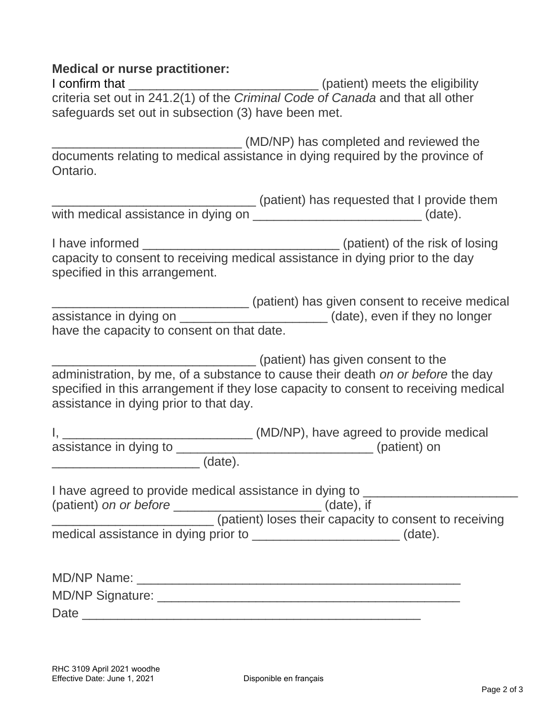#### **Medical or nurse practitioner:**

I confirm that \_\_\_\_\_\_\_\_\_\_\_\_\_\_\_\_\_\_\_\_\_\_\_\_\_\_\_ (patient) meets the eligibility criteria set out in 241.2(1) of the *Criminal Code of Canada* and that all other safeguards set out in subsection (3) have been met.

\_\_\_\_\_\_\_\_\_\_\_\_\_\_\_\_\_\_\_\_\_\_\_\_\_\_\_ (MD/NP) has completed and reviewed the documents relating to medical assistance in dying required by the province of Ontario.

|                                     | (patient) has requested that I provide them |
|-------------------------------------|---------------------------------------------|
| with medical assistance in dying on | (date).                                     |

I have informed a set of the risk of losing intervals of the risk of losing intervals of the risk of losing in capacity to consent to receiving medical assistance in dying prior to the day specified in this arrangement.

\_\_\_\_\_\_\_\_\_\_\_\_\_\_\_\_\_\_\_\_\_\_\_\_\_\_\_\_ (patient) has given consent to receive medical assistance in dying on \_\_\_\_\_\_\_\_\_\_\_\_\_\_\_\_\_\_\_\_\_\_(date), even if they no longer have the capacity to consent on that date.

\_\_\_\_\_\_\_\_\_\_\_\_\_\_\_\_\_\_\_\_\_\_\_\_\_\_\_\_\_ (patient) has given consent to the administration, by me, of a substance to cause their death *on or before* the day specified in this arrangement if they lose capacity to consent to receiving medical assistance in dying prior to that day.

|                        |         | (MD/NP), have agreed to provide medical |
|------------------------|---------|-----------------------------------------|
| assistance in dying to |         | (patient) on                            |
|                        | (date). |                                         |

I have agreed to provide medical assistance in dying to \_\_\_\_\_\_\_\_\_\_\_\_\_\_\_\_\_\_\_\_\_\_\_\_\_ (patient) *on or before* \_\_\_\_\_\_\_\_\_\_\_\_\_\_\_\_\_\_\_\_\_ (date), if \_\_\_\_\_\_\_\_\_\_\_\_\_\_\_\_\_\_\_\_\_\_\_ (patient) loses their capacity to consent to receiving

| medical assistance in dying prior to |  | (date). |
|--------------------------------------|--|---------|
|--------------------------------------|--|---------|

| <b>MD/NP Name:</b> |  |
|--------------------|--|
| MD/NP Signature:   |  |
| Date               |  |